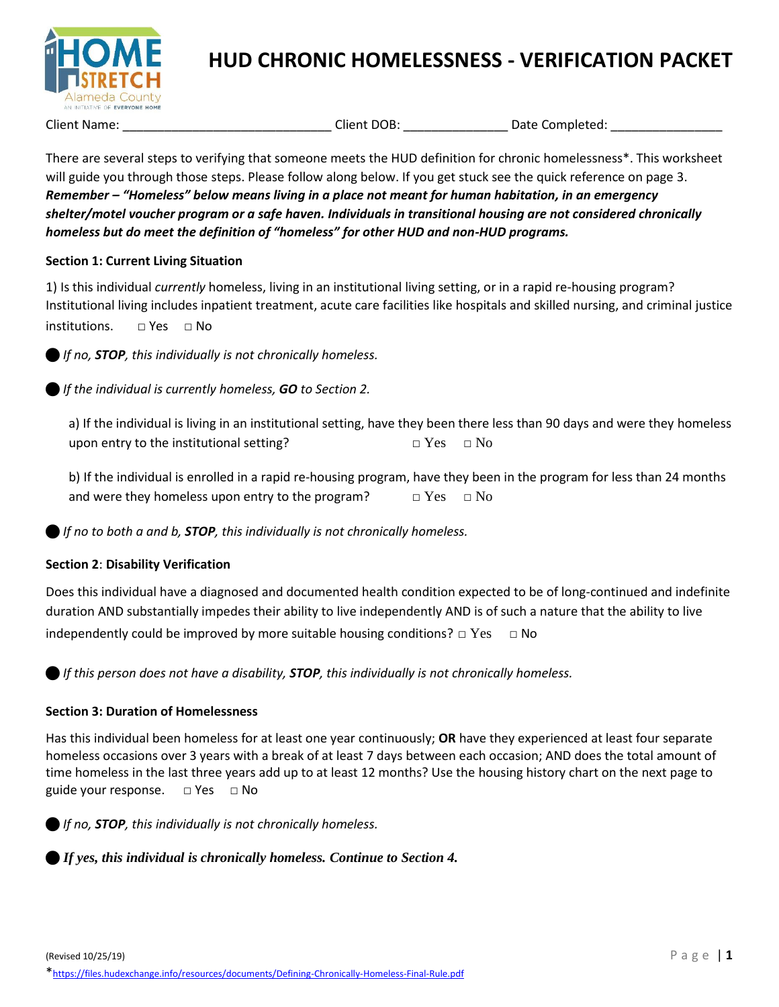

## **HUD CHRONIC HOMELESSNESS - VERIFICATION PACKET**

Client Name: \_\_\_\_\_\_\_\_\_\_\_\_\_\_\_\_\_\_\_\_\_\_\_\_\_\_\_\_\_\_\_\_\_\_Client DOB: \_\_\_\_\_\_\_\_\_\_\_\_\_\_\_\_\_\_\_\_\_Date Completed: \_\_\_\_\_\_\_\_\_\_\_\_\_\_

There are several steps to verifying that someone meets the HUD definition for chronic homelessness\*. This worksheet will guide you through those steps. Please follow along below. If you get stuck see the quick reference on page 3. *Remember – "Homeless" below means living in a place not meant for human habitation, in an emergency shelter/motel voucher program or a safe haven. Individuals in transitional housing are not considered chronically homeless but do meet the definition of "homeless" for other HUD and non-HUD programs.*

### **Section 1: Current Living Situation**

1) Is this individual *currently* homeless, living in an institutional living setting, or in a rapid re-housing program? Institutional living includes inpatient treatment, acute care facilities like hospitals and skilled nursing, and criminal justice  $institutions.$   $\Box$  Yes  $\Box$  No

*If no, STOP, this individually is not chronically homeless.*

*If the individual is currently homeless, GO to Section 2.* 

a) If the individual is living in an institutional setting, have they been there less than 90 days and were they homeless upon entry to the institutional setting?  $\Box$  Yes  $\Box$  No

b) If the individual is enrolled in a rapid re-housing program, have they been in the program for less than 24 months and were they homeless upon entry to the program?  $\Box$  Yes  $\Box$  No

*If no to both a and b, STOP, this individually is not chronically homeless.*

### **Section 2**: **Disability Verification**

Does this individual have a diagnosed and documented health condition expected to be of long-continued and indefinite duration AND substantially impedes their ability to live independently AND is of such a nature that the ability to live independently could be improved by more suitable housing conditions?  $\Box$  Yes  $\Box$  No

*If this person does not have a disability, STOP, this individually is not chronically homeless.*

### **Section 3: Duration of Homelessness**

Has this individual been homeless for at least one year continuously; **OR** have they experienced at least four separate homeless occasions over 3 years with a break of at least 7 days between each occasion; AND does the total amount of time homeless in the last three years add up to at least 12 months? Use the housing history chart on the next page to guide your response. □ Yes □ No

*If no, STOP, this individually is not chronically homeless.*

*If yes, this individual is chronically homeless. Continue to Section 4.*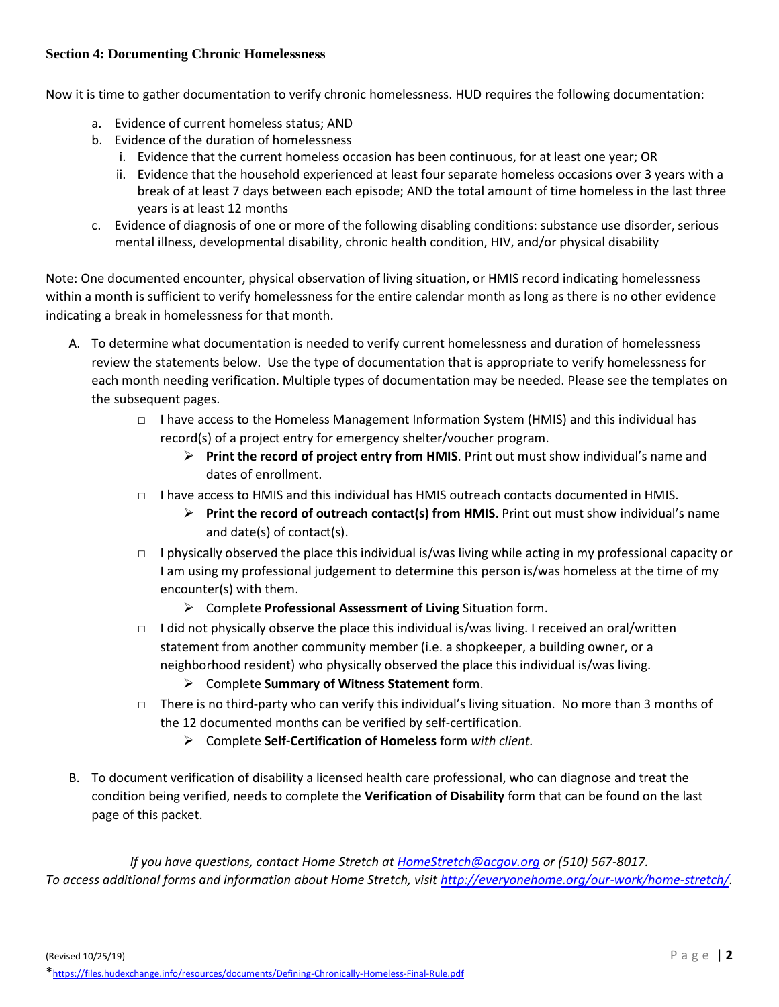#### **Section 4: Documenting Chronic Homelessness**

Now it is time to gather documentation to verify chronic homelessness. HUD requires the following documentation:

- a. Evidence of current homeless status; AND
- b. Evidence of the duration of homelessness
	- i. Evidence that the current homeless occasion has been continuous, for at least one year; OR
	- ii. Evidence that the household experienced at least four separate homeless occasions over 3 years with a break of at least 7 days between each episode; AND the total amount of time homeless in the last three years is at least 12 months
- c. Evidence of diagnosis of one or more of the following disabling conditions: substance use disorder, serious mental illness, developmental disability, chronic health condition, HIV, and/or physical disability

Note: One documented encounter, physical observation of living situation, or HMIS record indicating homelessness within a month is sufficient to verify homelessness for the entire calendar month as long as there is no other evidence indicating a break in homelessness for that month.

- A. To determine what documentation is needed to verify current homelessness and duration of homelessness review the statements below. Use the type of documentation that is appropriate to verify homelessness for each month needing verification. Multiple types of documentation may be needed. Please see the templates on the subsequent pages.
	- □ I have access to the Homeless Management Information System (HMIS) and this individual has record(s) of a project entry for emergency shelter/voucher program.
		- ➢ **Print the record of project entry from HMIS**. Print out must show individual's name and dates of enrollment.
	- □ I have access to HMIS and this individual has HMIS outreach contacts documented in HMIS.
		- ➢ **Print the record of outreach contact(s) from HMIS**. Print out must show individual's name and date(s) of contact(s).
	- □ I physically observed the place this individual is/was living while acting in my professional capacity or I am using my professional judgement to determine this person is/was homeless at the time of my encounter(s) with them.
		- ➢ Complete **Professional Assessment of Living** Situation form.
	- □ I did not physically observe the place this individual is/was living. I received an oral/written statement from another community member (i.e. a shopkeeper, a building owner, or a neighborhood resident) who physically observed the place this individual is/was living.
		- ➢ Complete **Summary of Witness Statement** form.
	- $\Box$  There is no third-party who can verify this individual's living situation. No more than 3 months of the 12 documented months can be verified by self-certification.
		- ➢ Complete **Self-Certification of Homeless** form *with client.*
- B. To document verification of disability a licensed health care professional, who can diagnose and treat the condition being verified, needs to complete the **Verification of Disability** form that can be found on the last page of this packet.

*If you have questions, contact Home Stretch at [HomeStretch@acgov.org](mailto:HomeStretch@acgov.org) or (510) 567-8017. To access additional forms and information about Home Stretch, visit [http://everyonehome.org/our-work/home-stretch/.](http://everyonehome.org/our-work/home-stretch/)*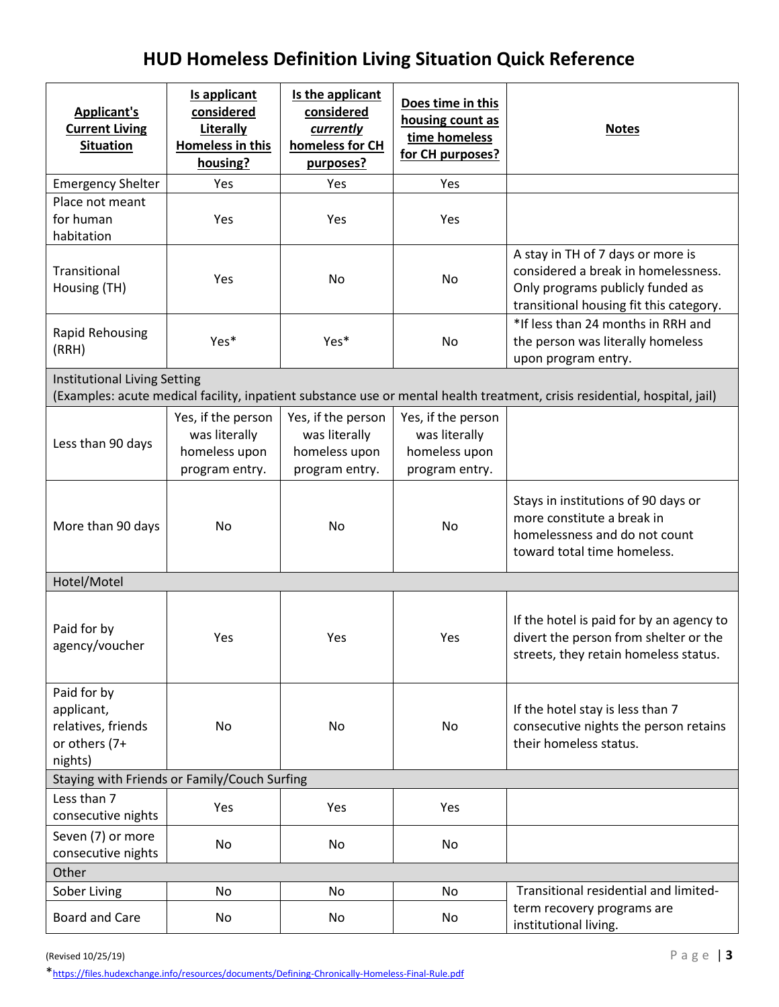# **HUD Homeless Definition Living Situation Quick Reference**

| <b>Applicant's</b><br><b>Current Living</b><br><b>Situation</b>             | Is applicant<br>considered<br>Literally<br><b>Homeless in this</b><br>housing? | Is the applicant<br>considered<br>currently<br>homeless for CH<br>purposes? | Does time in this<br>housing count as<br>time homeless<br>for CH purposes? | <b>Notes</b>                                                                                                                                            |
|-----------------------------------------------------------------------------|--------------------------------------------------------------------------------|-----------------------------------------------------------------------------|----------------------------------------------------------------------------|---------------------------------------------------------------------------------------------------------------------------------------------------------|
| <b>Emergency Shelter</b>                                                    | Yes                                                                            | Yes                                                                         | Yes                                                                        |                                                                                                                                                         |
| Place not meant<br>for human<br>habitation                                  | Yes                                                                            | Yes                                                                         | Yes                                                                        |                                                                                                                                                         |
| Transitional<br>Housing (TH)                                                | Yes                                                                            | No                                                                          | No                                                                         | A stay in TH of 7 days or more is<br>considered a break in homelessness.<br>Only programs publicly funded as<br>transitional housing fit this category. |
| <b>Rapid Rehousing</b><br>(RRH)                                             | Yes*                                                                           | Yes*                                                                        | No                                                                         | *If less than 24 months in RRH and<br>the person was literally homeless<br>upon program entry.                                                          |
| <b>Institutional Living Setting</b>                                         |                                                                                |                                                                             |                                                                            | (Examples: acute medical facility, inpatient substance use or mental health treatment, crisis residential, hospital, jail)                              |
| Less than 90 days                                                           | Yes, if the person<br>was literally<br>homeless upon<br>program entry.         | Yes, if the person<br>was literally<br>homeless upon<br>program entry.      | Yes, if the person<br>was literally<br>homeless upon<br>program entry.     |                                                                                                                                                         |
| More than 90 days                                                           | No                                                                             | No                                                                          | No                                                                         | Stays in institutions of 90 days or<br>more constitute a break in<br>homelessness and do not count<br>toward total time homeless.                       |
| Hotel/Motel                                                                 |                                                                                |                                                                             |                                                                            |                                                                                                                                                         |
| Paid for by<br>agency/voucher                                               | Yes                                                                            | Yes                                                                         | Yes                                                                        | If the hotel is paid for by an agency to<br>divert the person from shelter or the<br>streets, they retain homeless status.                              |
| Paid for by<br>applicant,<br>relatives, friends<br>or others (7+<br>nights) | No                                                                             | No                                                                          | No                                                                         | If the hotel stay is less than 7<br>consecutive nights the person retains<br>their homeless status.                                                     |
| Staying with Friends or Family/Couch Surfing                                |                                                                                |                                                                             |                                                                            |                                                                                                                                                         |
| Less than 7<br>consecutive nights                                           | Yes                                                                            | Yes                                                                         | Yes                                                                        |                                                                                                                                                         |
| Seven (7) or more<br>consecutive nights                                     | No                                                                             | No                                                                          | No                                                                         |                                                                                                                                                         |
| Other                                                                       |                                                                                |                                                                             |                                                                            |                                                                                                                                                         |
| Sober Living                                                                | No                                                                             | No                                                                          | No                                                                         | Transitional residential and limited-                                                                                                                   |
| <b>Board and Care</b>                                                       | No                                                                             | No                                                                          | No                                                                         | term recovery programs are<br>institutional living.                                                                                                     |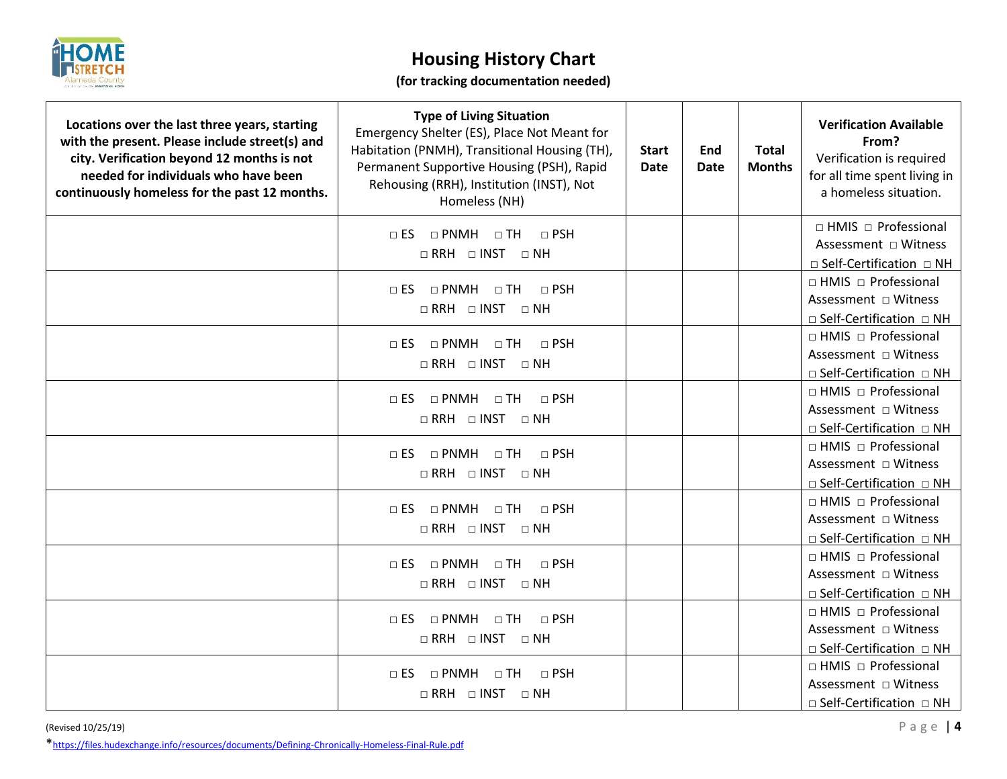

## **Housing History Chart**

## **(for tracking documentation needed)**

| Locations over the last three years, starting<br>with the present. Please include street(s) and<br>city. Verification beyond 12 months is not<br>needed for individuals who have been<br>continuously homeless for the past 12 months. | <b>Type of Living Situation</b><br>Emergency Shelter (ES), Place Not Meant for<br>Habitation (PNMH), Transitional Housing (TH),<br>Permanent Supportive Housing (PSH), Rapid<br>Rehousing (RRH), Institution (INST), Not<br>Homeless (NH) | <b>Start</b><br><b>Date</b> | End<br><b>Date</b> | <b>Total</b><br><b>Months</b> | <b>Verification Available</b><br>From?<br>Verification is required<br>for all time spent living in<br>a homeless situation. |
|----------------------------------------------------------------------------------------------------------------------------------------------------------------------------------------------------------------------------------------|-------------------------------------------------------------------------------------------------------------------------------------------------------------------------------------------------------------------------------------------|-----------------------------|--------------------|-------------------------------|-----------------------------------------------------------------------------------------------------------------------------|
|                                                                                                                                                                                                                                        | □ ES □ PNMH □ TH<br>$\Box$ PSH<br>$\Box$ RRH $\Box$ INST $\Box$ NH                                                                                                                                                                        |                             |                    |                               | $\Box$ HMIS $\Box$ Professional<br>$\Box$ Self-Certification $\Box$ NH                                                      |
|                                                                                                                                                                                                                                        | $\Box$ ES $\Box$ PNMH $\Box$ TH<br>$\Box$ PSH<br>$\Box$ RRH $\Box$ INST $\Box$ NH                                                                                                                                                         |                             |                    |                               | □ HMIS □ Professional<br>Assessment □ Witness<br>□ Self-Certification □ NH                                                  |
|                                                                                                                                                                                                                                        | $\Box$ PSH<br>$\Box$ ES $\Box$ PNMH $\Box$ TH<br>$\Box$ RRH $\Box$ INST $\Box$ NH                                                                                                                                                         |                             |                    |                               | $\Box$ HMIS $\Box$ Professional<br>Assessment □ Witness<br>□ Self-Certification □ NH                                        |
|                                                                                                                                                                                                                                        | $\Box$ ES $\Box$ PNMH $\Box$ TH<br>$\Box$ PSH<br>$\Box$ RRH $\Box$ INST $\Box$ NH                                                                                                                                                         |                             |                    |                               | □ HMIS □ Professional<br>Assessment □ Witness<br>$\Box$ Self-Certification $\Box$ NH                                        |
|                                                                                                                                                                                                                                        | $\Box$ PSH<br>$\Box$ ES $\Box$ PNMH $\Box$ TH<br>$\Box$ RRH $\Box$ INST $\Box$ NH                                                                                                                                                         |                             |                    |                               | $\Box$ HMIS $\Box$ Professional<br>Assessment □ Witness<br>□ Self-Certification □ NH                                        |
|                                                                                                                                                                                                                                        | $\Box$ ES $\Box$ PNMH<br>$\Box$ TH<br>$\Box$ PSH<br>$\Box$ RRH $\Box$ INST $\Box$ NH                                                                                                                                                      |                             |                    |                               | $\Box$ HMIS $\Box$ Professional<br>Assessment □ Witness<br>□ Self-Certification □ NH                                        |
|                                                                                                                                                                                                                                        | $\Box$ ES $\Box$ PNMH $\Box$ TH<br>$\Box$ PSH<br>$\Box$ RRH $\Box$ INST $\Box$ NH                                                                                                                                                         |                             |                    |                               | $\Box$ HMIS $\Box$ Professional<br>Assessment □ Witness<br>$\Box$ Self-Certification $\Box$ NH                              |
|                                                                                                                                                                                                                                        | $\Box$ ES $\Box$ PNMH $\Box$ TH<br>$\Box$ PSH<br>$\Box$ RRH $\Box$ INST $\Box$ NH                                                                                                                                                         |                             |                    |                               | $\Box$ HMIS $\Box$ Professional<br>Assessment □ Witness<br>□ Self-Certification □ NH                                        |
|                                                                                                                                                                                                                                        | $\Box$ ES $\Box$ PNMH<br>$\Box$ TH<br>$\Box$ PSH<br>$\Box$ RRH $\Box$ INST $\Box$ NH                                                                                                                                                      |                             |                    |                               | $\Box$ HMIS $\Box$ Professional<br>Assessment □ Witness<br>$\Box$ Self-Certification $\Box$ NH                              |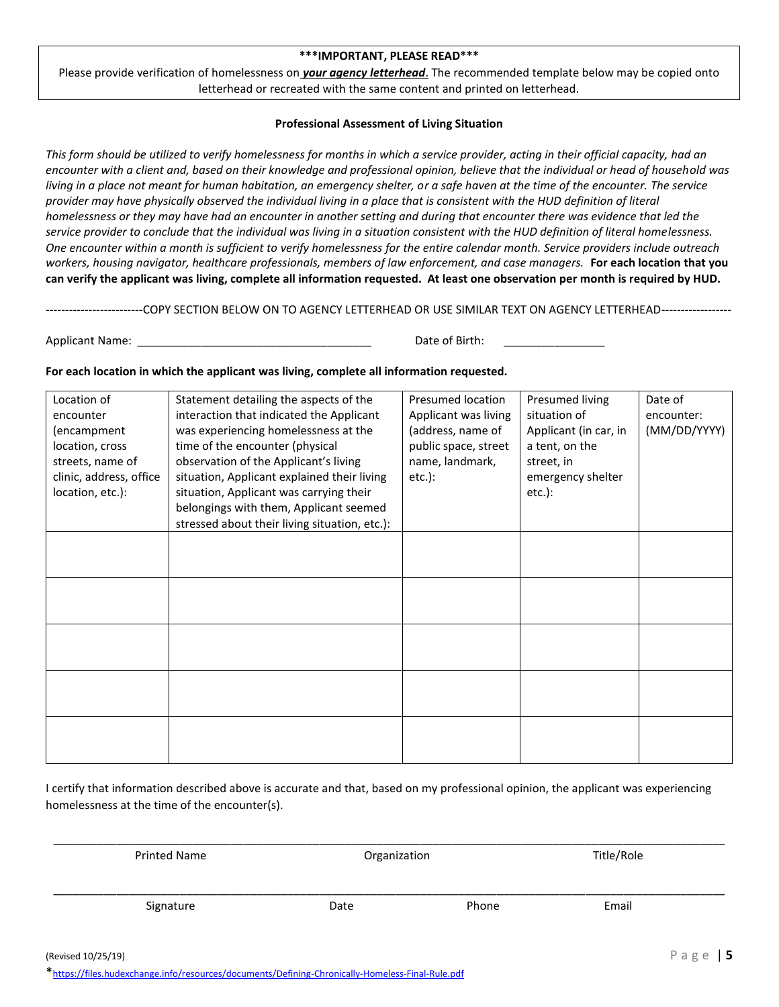#### **\*\*\*IMPORTANT, PLEASE READ\*\*\***

Please provide verification of homelessness on *your agency letterhead*. The recommended template below may be copied onto letterhead or recreated with the same content and printed on letterhead.

#### **Professional Assessment of Living Situation**

*This form should be utilized to verify homelessness for months in which a service provider, acting in their official capacity, had an encounter with a client and, based on their knowledge and professional opinion, believe that the individual or head of household was living in a place not meant for human habitation, an emergency shelter, or a safe haven at the time of the encounter. The service provider may have physically observed the individual living in a place that is consistent with the HUD definition of literal homelessness or they may have had an encounter in another setting and during that encounter there was evidence that led the service provider to conclude that the individual was living in a situation consistent with the HUD definition of literal homelessness. One encounter within a month is sufficient to verify homelessness for the entire calendar month. Service providers include outreach workers, housing navigator, healthcare professionals, members of law enforcement, and case managers.* **For each location that you can verify the applicant was living, complete all information requested. At least one observation per month is required by HUD.**

-------------------------COPY SECTION BELOW ON TO AGENCY LETTERHEAD OR USE SIMILAR TEXT ON AGENCY LETTERHEAD------------------

Applicant Name: \_\_\_\_\_\_\_\_\_\_\_\_\_\_\_\_\_\_\_\_\_\_\_\_\_\_\_\_\_\_\_\_\_\_\_\_\_ Date of Birth: \_\_\_\_\_\_\_\_\_\_\_\_\_\_\_\_

#### **For each location in which the applicant was living, complete all information requested.**

| Location of<br>encounter<br>(encampment<br>location, cross<br>streets, name of<br>clinic, address, office<br>location, etc.): | Statement detailing the aspects of the<br>interaction that indicated the Applicant<br>was experiencing homelessness at the<br>time of the encounter (physical<br>observation of the Applicant's living<br>situation, Applicant explained their living<br>situation, Applicant was carrying their | <b>Presumed location</b><br>Applicant was living<br>(address, name of<br>public space, street<br>name, landmark,<br>$etc.$ ): | Presumed living<br>situation of<br>Applicant (in car, in<br>a tent, on the<br>street, in<br>emergency shelter<br>$etc.$ ): | Date of<br>encounter:<br>(MM/DD/YYYY) |
|-------------------------------------------------------------------------------------------------------------------------------|--------------------------------------------------------------------------------------------------------------------------------------------------------------------------------------------------------------------------------------------------------------------------------------------------|-------------------------------------------------------------------------------------------------------------------------------|----------------------------------------------------------------------------------------------------------------------------|---------------------------------------|
|                                                                                                                               | belongings with them, Applicant seemed                                                                                                                                                                                                                                                           |                                                                                                                               |                                                                                                                            |                                       |
|                                                                                                                               | stressed about their living situation, etc.):                                                                                                                                                                                                                                                    |                                                                                                                               |                                                                                                                            |                                       |
|                                                                                                                               |                                                                                                                                                                                                                                                                                                  |                                                                                                                               |                                                                                                                            |                                       |
|                                                                                                                               |                                                                                                                                                                                                                                                                                                  |                                                                                                                               |                                                                                                                            |                                       |
|                                                                                                                               |                                                                                                                                                                                                                                                                                                  |                                                                                                                               |                                                                                                                            |                                       |
|                                                                                                                               |                                                                                                                                                                                                                                                                                                  |                                                                                                                               |                                                                                                                            |                                       |
|                                                                                                                               |                                                                                                                                                                                                                                                                                                  |                                                                                                                               |                                                                                                                            |                                       |

I certify that information described above is accurate and that, based on my professional opinion, the applicant was experiencing homelessness at the time of the encounter(s).

| <b>Printed Name</b> | Organization |       | Title/Role |  |
|---------------------|--------------|-------|------------|--|
| Signature           | Date         | Phone | Email      |  |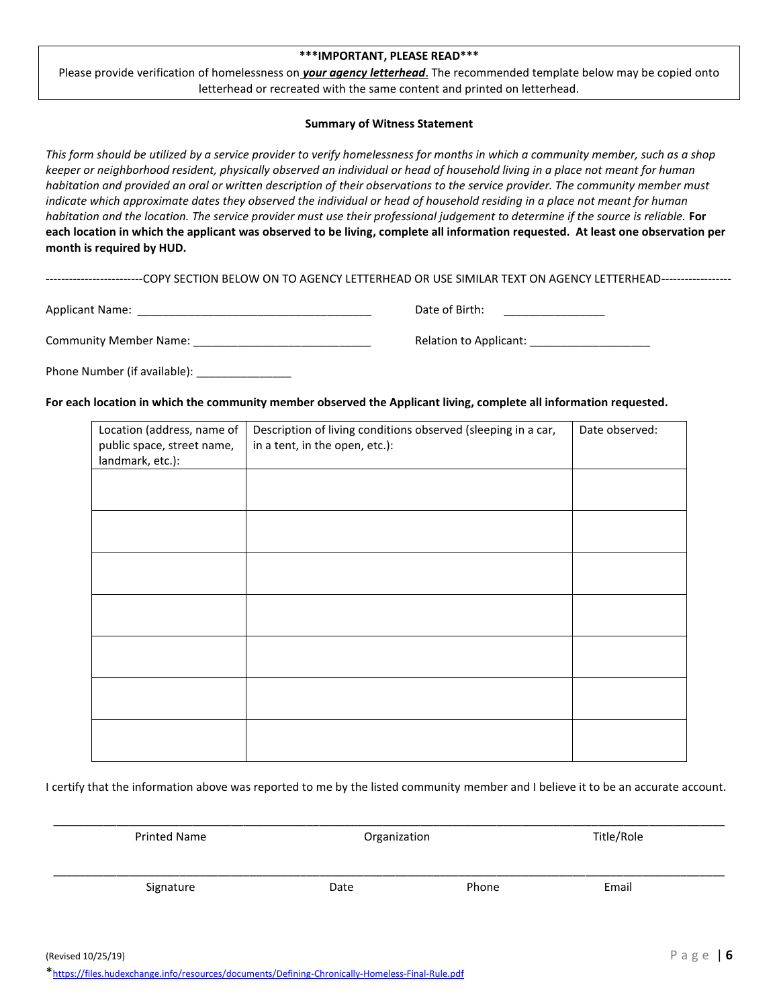#### **\*\*\*IMPORTANT, PLEASE READ\*\*\***

Please provide verification of homelessness on *your agency letterhead*. The recommended template below may be copied onto letterhead or recreated with the same content and printed on letterhead.

#### **Summary of Witness Statement**

*This form should be utilized by a service provider to verify homelessness for months in which a community member, such as a shop keeper or neighborhood resident, physically observed an individual or head of household living in a place not meant for human habitation and provided an oral or written description of their observations to the service provider. The community member must indicate which approximate dates they observed the individual or head of household residing in a place not meant for human habitation and the location. The service provider must use their professional judgement to determine if the source is reliable.* **For each location in which the applicant was observed to be living, complete all information requested. At least one observation per month is required by HUD.**

-------------------------COPY SECTION BELOW ON TO AGENCY LETTERHEAD OR USE SIMILAR TEXT ON AGENCY LETTERHEAD------------------

| Applicant Name:        | Date of Birth:         |
|------------------------|------------------------|
| Community Member Name: | Relation to Applicant: |

Phone Number (if available): \_\_\_\_\_\_\_\_\_\_\_\_\_\_

**For each location in which the community member observed the Applicant living, complete all information requested.**

| Location (address, name of<br>public space, street name,<br>landmark, etc.): | Description of living conditions observed (sleeping in a car,<br>in a tent, in the open, etc.): | Date observed: |
|------------------------------------------------------------------------------|-------------------------------------------------------------------------------------------------|----------------|
|                                                                              |                                                                                                 |                |
|                                                                              |                                                                                                 |                |
|                                                                              |                                                                                                 |                |
|                                                                              |                                                                                                 |                |
|                                                                              |                                                                                                 |                |
|                                                                              |                                                                                                 |                |
|                                                                              |                                                                                                 |                |

I certify that the information above was reported to me by the listed community member and I believe it to be an accurate account.

| <b>Printed Name</b> | Organization |       | Title/Role |  |
|---------------------|--------------|-------|------------|--|
| Signature           | Date         | Phone | Email      |  |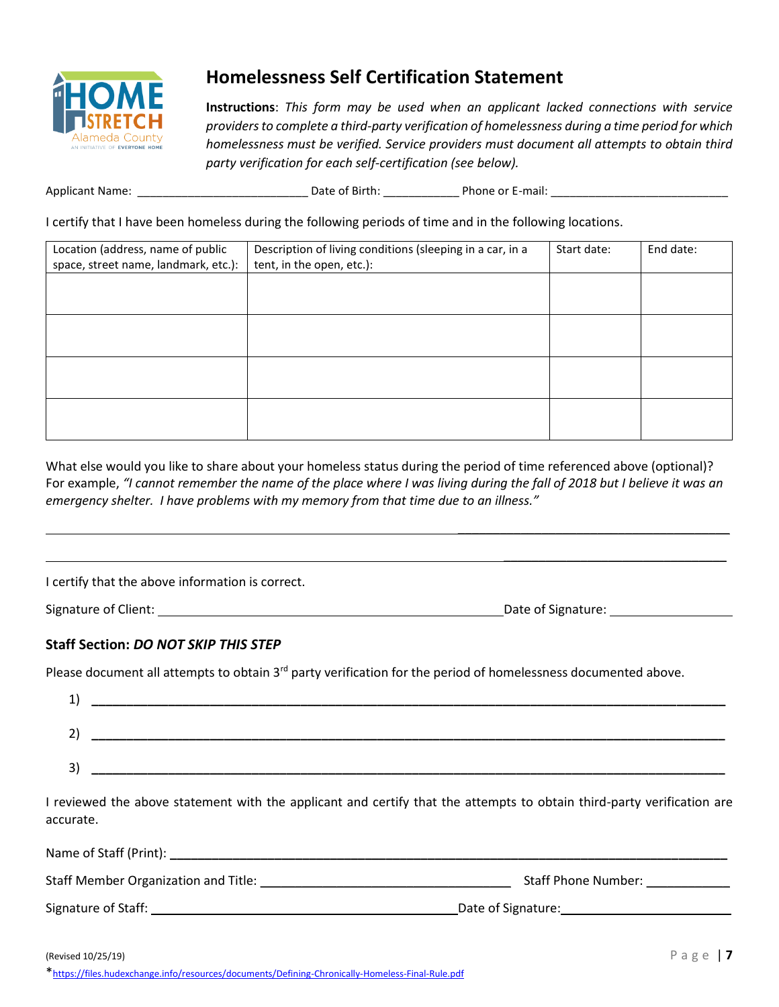

## **Homelessness Self Certification Statement**

**Instructions**: *This form may be used when an applicant lacked connections with service providers to complete a third-party verification of homelessness during a time period for which homelessness must be verified. Service providers must document all attempts to obtain third party verification for each self-certification (see below).*

Applicant Name: \_\_\_\_\_\_\_\_\_\_\_\_\_\_\_\_\_\_\_\_\_\_\_\_\_\_\_ Date of Birth: \_\_\_\_\_\_\_\_\_\_\_\_ Phone or E-mail: \_\_\_\_\_\_\_\_\_\_\_\_\_\_\_\_\_\_\_\_\_\_\_\_\_\_\_\_

I certify that I have been homeless during the following periods of time and in the following locations.

| Location (address, name of public    | Description of living conditions (sleeping in a car, in a | Start date: | End date: |
|--------------------------------------|-----------------------------------------------------------|-------------|-----------|
| space, street name, landmark, etc.): | tent, in the open, etc.):                                 |             |           |
|                                      |                                                           |             |           |
|                                      |                                                           |             |           |
|                                      |                                                           |             |           |
|                                      |                                                           |             |           |
|                                      |                                                           |             |           |
|                                      |                                                           |             |           |
|                                      |                                                           |             |           |
|                                      |                                                           |             |           |

What else would you like to share about your homeless status during the period of time referenced above (optional)? For example, *"I cannot remember the name of the place where I was living during the fall of 2018 but I believe it was an emergency shelter. I have problems with my memory from that time due to an illness."* 

I certify that the above information is correct.

Signature of Client: Date of Signature:

\_\_\_\_\_\_\_\_\_\_\_\_\_\_\_\_\_\_\_\_\_\_\_\_\_\_\_\_\_\_\_\_\_\_\_\_\_\_\_

\_\_\_\_\_\_\_\_\_\_\_\_\_\_\_\_\_\_\_\_\_\_\_\_\_\_\_\_\_\_\_\_

### **Staff Section:** *DO NOT SKIP THIS STEP*

Please document all attempts to obtain 3<sup>rd</sup> party verification for the period of homelessness documented above.

| <b>.</b> |  |
|----------|--|
| ∽        |  |
| 3)       |  |

I reviewed the above statement with the applicant and certify that the attempts to obtain third-party verification are accurate.

| Name of Staff (Print):                      |                            |
|---------------------------------------------|----------------------------|
| <b>Staff Member Organization and Title:</b> | <b>Staff Phone Number:</b> |
| Signature of Staff:                         | Date of Signature:         |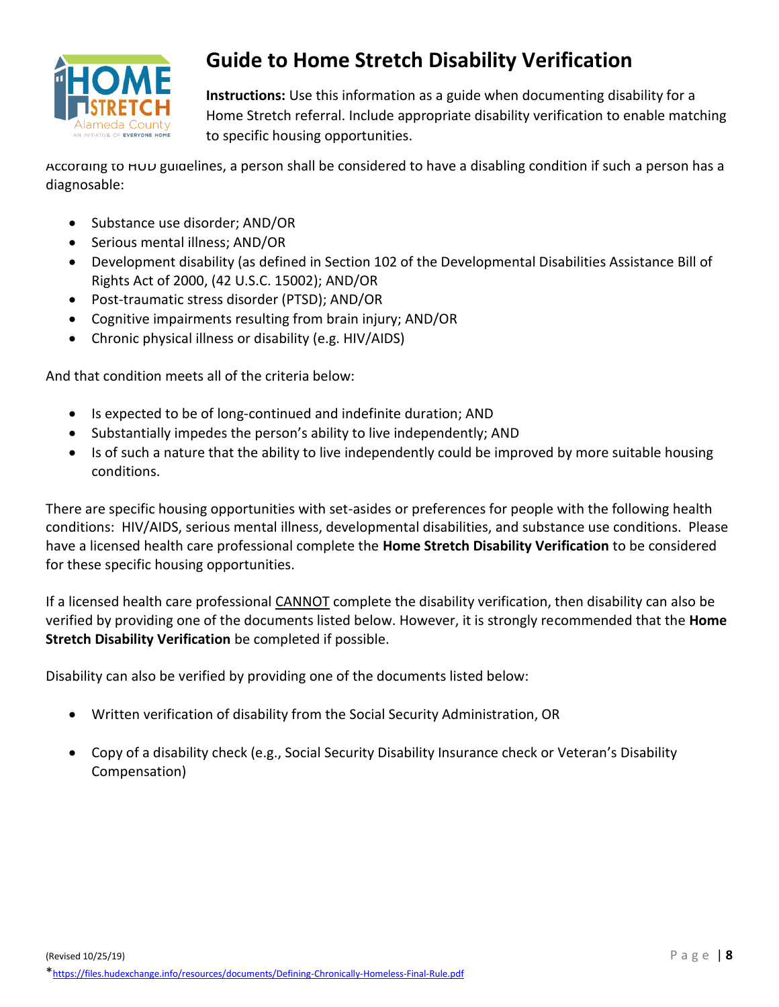

# **Guide to Home Stretch Disability Verification**

**Instructions:** Use this information as a guide when documenting disability for a Home Stretch referral. Include appropriate disability verification to enable matching to specific housing opportunities.

According to HUD guidelines, a person shall be considered to have a disabling condition if such a person has a diagnosable:

- Substance use disorder; AND/OR
- Serious mental illness; AND/OR
- Development disability (as defined in Section 102 of the Developmental Disabilities Assistance Bill of Rights Act of 2000, (42 U.S.C. 15002); AND/OR
- Post-traumatic stress disorder (PTSD); AND/OR
- Cognitive impairments resulting from brain injury; AND/OR
- Chronic physical illness or disability (e.g. HIV/AIDS)

And that condition meets all of the criteria below:

- Is expected to be of long-continued and indefinite duration; AND
- Substantially impedes the person's ability to live independently; AND
- Is of such a nature that the ability to live independently could be improved by more suitable housing conditions.

There are specific housing opportunities with set-asides or preferences for people with the following health conditions: HIV/AIDS, serious mental illness, developmental disabilities, and substance use conditions. Please have a licensed health care professional complete the **Home Stretch Disability Verification** to be considered for these specific housing opportunities.

If a licensed health care professional CANNOT complete the disability verification, then disability can also be verified by providing one of the documents listed below. However, it is strongly recommended that the **Home Stretch Disability Verification** be completed if possible.

Disability can also be verified by providing one of the documents listed below:

- Written verification of disability from the Social Security Administration, OR
- Copy of a disability check (e.g., Social Security Disability Insurance check or Veteran's Disability Compensation)